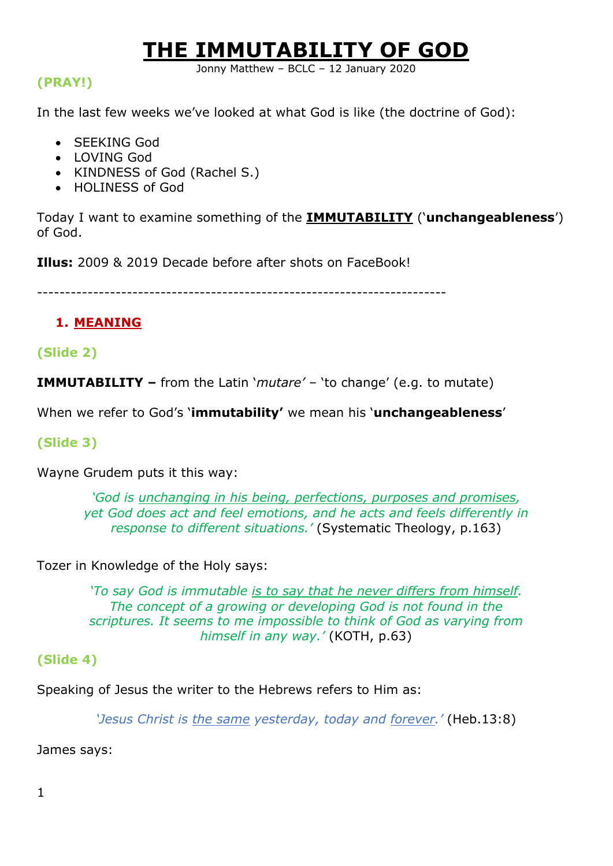# **THE IMMUTABILITY OF GOD**

Jonny Matthew – BCLC – 12 January 2020

### **(PRAY!)**

In the last few weeks we've looked at what God is like (the doctrine of God):

- SEEKING God
- LOVING God
- KINDNESS of God (Rachel S.)
- HOLINESS of God

Today I want to examine something of the **IMMUTABILITY** ('**unchangeableness**') of God.

**Illus:** 2009 & 2019 Decade before after shots on FaceBook!

-------------------------------------------------------------------------

## **1. MEANING**

## **(Slide 2)**

**IMMUTABILITY –** from the Latin '*mutare' –* 'to change' (e.g. to mutate)

When we refer to God's '**immutability'** we mean his '**unchangeableness**'

## **(Slide 3)**

Wayne Grudem puts it this way:

*'God is unchanging in his being, perfections, purposes and promises, yet God does act and feel emotions, and he acts and feels differently in response to different situations.'* (Systematic Theology, p.163)

Tozer in Knowledge of the Holy says:

*'To say God is immutable is to say that he never differs from himself. The concept of a growing or developing God is not found in the scriptures. It seems to me impossible to think of God as varying from himself in any way.'* (KOTH, p.63)

## **(Slide 4)**

Speaking of Jesus the writer to the Hebrews refers to Him as:

*'Jesus Christ is the same yesterday, today and forever.'* (Heb.13:8)

James says: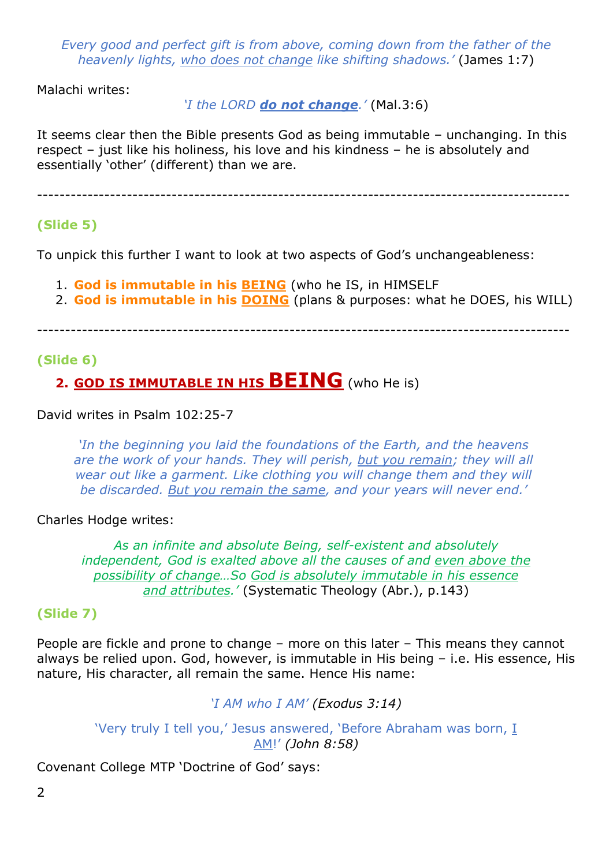*Every good and perfect gift is from above, coming down from the father of the heavenly lights, who does not change like shifting shadows.'* (James 1:7)

Malachi writes:

*'I the LORD do not change.'* (Mal.3:6)

It seems clear then the Bible presents God as being immutable – unchanging. In this respect – just like his holiness, his love and his kindness – he is absolutely and essentially 'other' (different) than we are.

-----------------------------------------------------------------------------------------------

## **(Slide 5)**

To unpick this further I want to look at two aspects of God's unchangeableness:

- 1. **God is immutable in his BEING** (who he IS, in HIMSELF
- 2. **God is immutable in his DOING** (plans & purposes: what he DOES, his WILL)

-----------------------------------------------------------------------------------------------

### **(Slide 6)**

## **2. GOD IS IMMUTABLE IN HIS BEING** (who He is)

#### David writes in Psalm 102:25-7

*'In the beginning you laid the foundations of the Earth, and the heavens are the work of your hands. They will perish, but you remain; they will all wear out like a garment. Like clothing you will change them and they will be discarded. But you remain the same, and your years will never end.'* 

#### Charles Hodge writes:

*As an infinite and absolute Being, self-existent and absolutely independent, God is exalted above all the causes of and even above the possibility of change…So God is absolutely immutable in his essence and attributes.'* (Systematic Theology (Abr.), p.143)

### **(Slide 7)**

People are fickle and prone to change – more on this later – This means they cannot always be relied upon. God, however, is immutable in His being – i.e. His essence, His nature, His character, all remain the same. Hence His name:

*'I AM who I AM' (Exodus 3:14)*

'Very truly I tell you,' Jesus answered, 'Before Abraham was born, I AM!' *(John 8:58)*

Covenant College MTP 'Doctrine of God' says: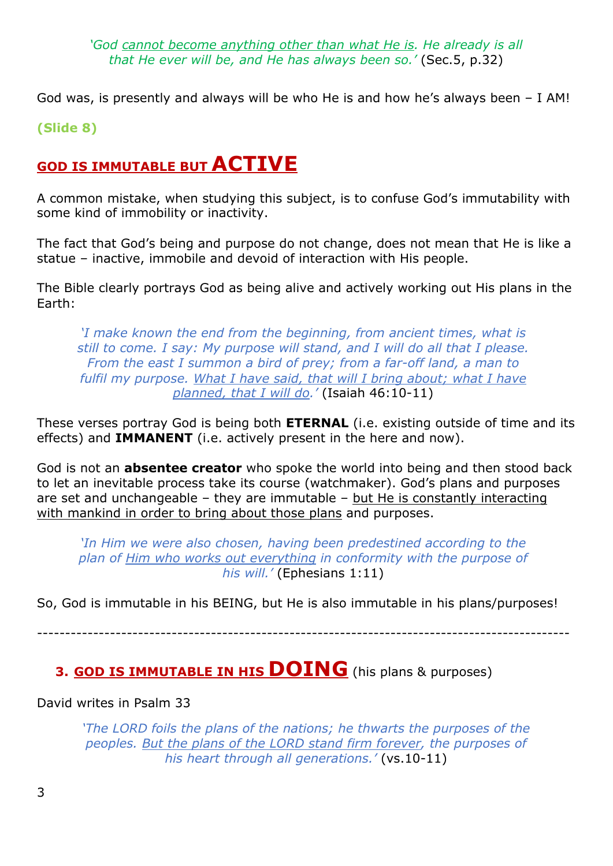*'God cannot become anything other than what He is. He already is all that He ever will be, and He has always been so.'* (Sec.5, p.32)

God was, is presently and always will be who He is and how he's always been – I AM!

**(Slide 8)**

## **GOD IS IMMUTABLE BUT ACTIVE**

A common mistake, when studying this subject, is to confuse God's immutability with some kind of immobility or inactivity.

The fact that God's being and purpose do not change, does not mean that He is like a statue – inactive, immobile and devoid of interaction with His people.

The Bible clearly portrays God as being alive and actively working out His plans in the Earth:

*'I make known the end from the beginning, from ancient times, what is still to come. I say: My purpose will stand, and I will do all that I please. From the east I summon a bird of prey; from a far-off land, a man to fulfil my purpose. What I have said, that will I bring about; what I have planned, that I will do.'* (Isaiah 46:10-11)

These verses portray God is being both **ETERNAL** (i.e. existing outside of time and its effects) and **IMMANENT** (i.e. actively present in the here and now).

God is not an **absentee creator** who spoke the world into being and then stood back to let an inevitable process take its course (watchmaker). God's plans and purposes are set and unchangeable – they are immutable – but He is constantly interacting with mankind in order to bring about those plans and purposes.

*'In Him we were also chosen, having been predestined according to the plan of Him who works out everything in conformity with the purpose of his will.'* (Ephesians 1:11)

So, God is immutable in his BEING, but He is also immutable in his plans/purposes!

-----------------------------------------------------------------------------------------------

## **3. GOD IS IMMUTABLE IN HIS DOING** (his plans & purposes)

David writes in Psalm 33

*'The LORD foils the plans of the nations; he thwarts the purposes of the peoples. But the plans of the LORD stand firm forever, the purposes of his heart through all generations.'* (vs.10-11)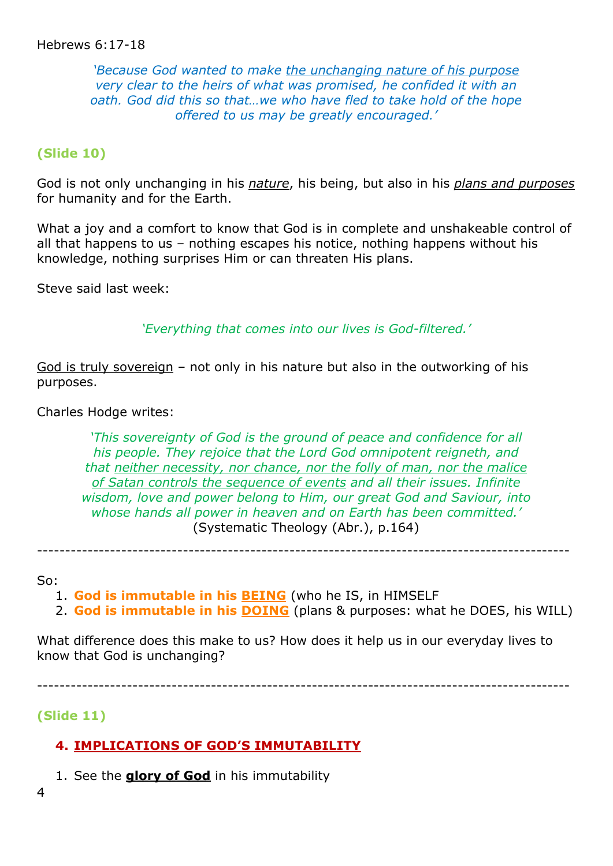#### Hebrews 6:17-18

*'Because God wanted to make the unchanging nature of his purpose very clear to the heirs of what was promised, he confided it with an oath. God did this so that…we who have fled to take hold of the hope offered to us may be greatly encouraged.'*

#### **(Slide 10)**

God is not only unchanging in his *nature*, his being, but also in his *plans and purposes* for humanity and for the Earth.

What a joy and a comfort to know that God is in complete and unshakeable control of all that happens to us – nothing escapes his notice, nothing happens without his knowledge, nothing surprises Him or can threaten His plans.

Steve said last week:

*'Everything that comes into our lives is God-filtered.'*

God is truly sovereign – not only in his nature but also in the outworking of his purposes.

Charles Hodge writes:

*'This sovereignty of God is the ground of peace and confidence for all his people. They rejoice that the Lord God omnipotent reigneth, and that neither necessity, nor chance, nor the folly of man, nor the malice of Satan controls the sequence of events and all their issues. Infinite wisdom, love and power belong to Him, our great God and Saviour, into whose hands all power in heaven and on Earth has been committed.'*  (Systematic Theology (Abr.), p.164)

-----------------------------------------------------------------------------------------------

So:

- 1. **God is immutable in his BEING** (who he IS, in HIMSELF
- 2. **God is immutable in his DOING** (plans & purposes: what he DOES, his WILL)

What difference does this make to us? How does it help us in our everyday lives to know that God is unchanging?

-----------------------------------------------------------------------------------------------

#### **(Slide 11)**

#### **4. IMPLICATIONS OF GOD'S IMMUTABILITY**

- 1. See the **glory of God** in his immutability
- 4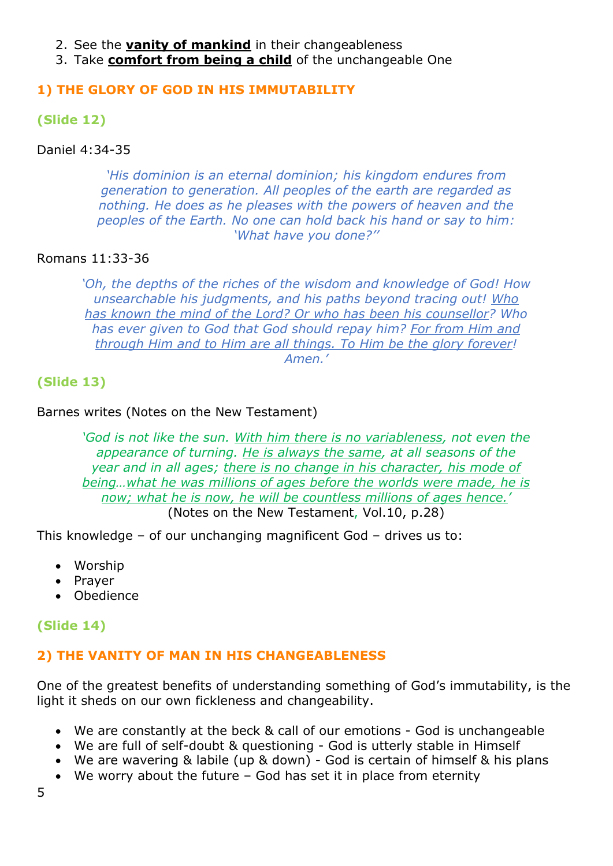- 2. See the **vanity of mankind** in their changeableness
- 3. Take **comfort from being a child** of the unchangeable One

#### **1) THE GLORY OF GOD IN HIS IMMUTABILITY**

#### **(Slide 12)**

#### Daniel 4:34-35

*'His dominion is an eternal dominion; his kingdom endures from generation to generation. All peoples of the earth are regarded as nothing. He does as he pleases with the powers of heaven and the peoples of the Earth. No one can hold back his hand or say to him: 'What have you done?''*

#### Romans 11:33-36

*'Oh, the depths of the riches of the wisdom and knowledge of God! How unsearchable his judgments, and his paths beyond tracing out! Who has known the mind of the Lord? Or who has been his counsellor? Who has ever given to God that God should repay him? For from Him and through Him and to Him are all things. To Him be the glory forever! Amen.'*

#### **(Slide 13)**

#### Barnes writes (Notes on the New Testament)

*'God is not like the sun. With him there is no variableness, not even the appearance of turning. He is always the same, at all seasons of the year and in all ages; there is no change in his character, his mode of being…what he was millions of ages before the worlds were made, he is now; what he is now, he will be countless millions of ages hence.'*  (Notes on the New Testament, Vol.10, p.28)

This knowledge – of our unchanging magnificent God – drives us to:

- Worship
- Prayer
- Obedience

#### **(Slide 14)**

#### **2) THE VANITY OF MAN IN HIS CHANGEABLENESS**

One of the greatest benefits of understanding something of God's immutability, is the light it sheds on our own fickleness and changeability.

- We are constantly at the beck & call of our emotions God is unchangeable
- We are full of self-doubt & questioning God is utterly stable in Himself
- We are wavering & labile (up & down) God is certain of himself & his plans
- We worry about the future God has set it in place from eternity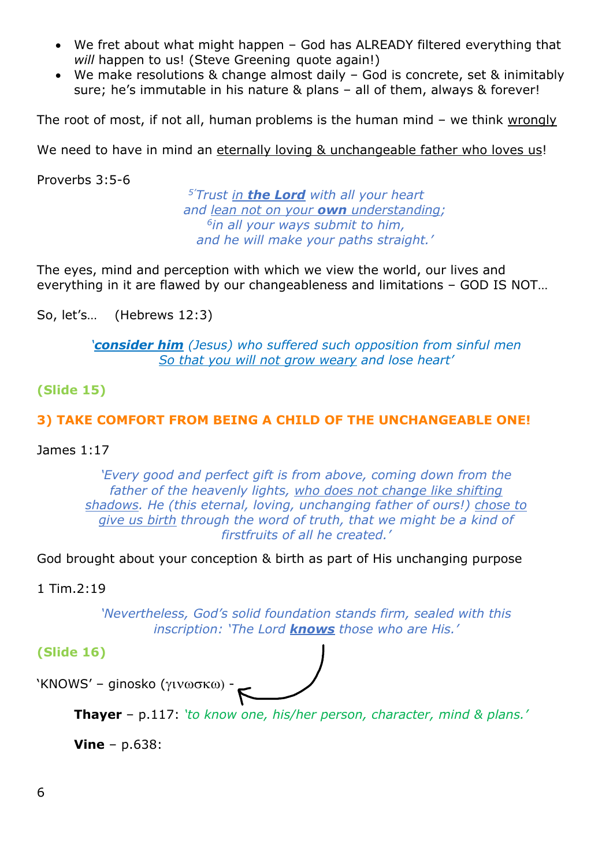- We fret about what might happen God has ALREADY filtered everything that *will* happen to us! (Steve Greening quote again!)
- We make resolutions & change almost daily God is concrete, set & inimitably sure; he's immutable in his nature & plans – all of them, always & forever!

The root of most, if not all, human problems is the human mind – we think wrongly

We need to have in mind an eternally loving & unchangeable father who loves us!

Proverbs 3:5-6

*5' Trust in the Lord with all your heart and lean not on your own understanding; 6in all your ways submit to him, and he will make your paths straight.'*

The eyes, mind and perception with which we view the world, our lives and everything in it are flawed by our changeableness and limitations – GOD IS NOT…

So, let's… (Hebrews 12:3)

*'consider him (Jesus) who suffered such opposition from sinful men So that you will not grow weary and lose heart'*

#### **(Slide 15)**

#### **3) TAKE COMFORT FROM BEING A CHILD OF THE UNCHANGEABLE ONE!**

#### James 1:17

*'Every good and perfect gift is from above, coming down from the father of the heavenly lights, who does not change like shifting shadows. He (this eternal, loving, unchanging father of ours!) chose to give us birth through the word of truth, that we might be a kind of firstfruits of all he created.'*

God brought about your conception & birth as part of His unchanging purpose

1 Tim.2:19

*'Nevertheless, God's solid foundation stands firm, sealed with this inscription: 'The Lord knows those who are His.'* 

#### **(Slide 16)**

'KNOWS' – ginosko ( $\gamma$ iv $\omega$ σκ $\omega$ ) ·

**Thayer** – p.117: *'to know one, his/her person, character, mind & plans.'*

**Vine** – p.638: